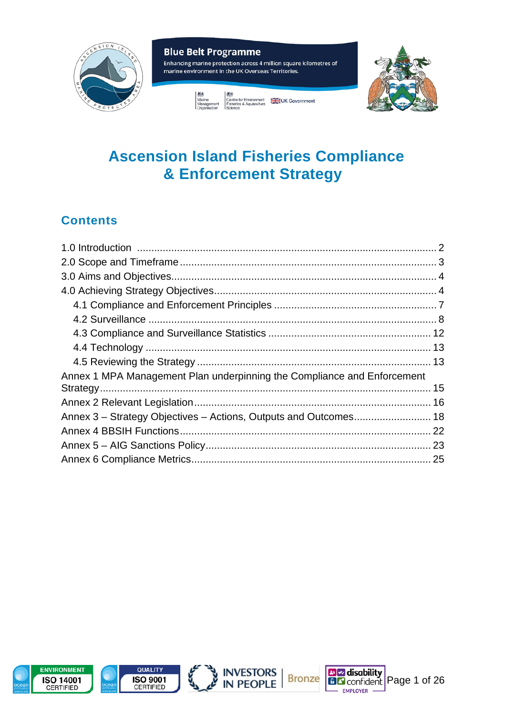

# **Ascension Island Fisheries Compliance** & Enforcement Strategy

## **Contents**

| Annex 1 MPA Management Plan underpinning the Compliance and Enforcement |  |
|-------------------------------------------------------------------------|--|
|                                                                         |  |
|                                                                         |  |
|                                                                         |  |
|                                                                         |  |
|                                                                         |  |
|                                                                         |  |







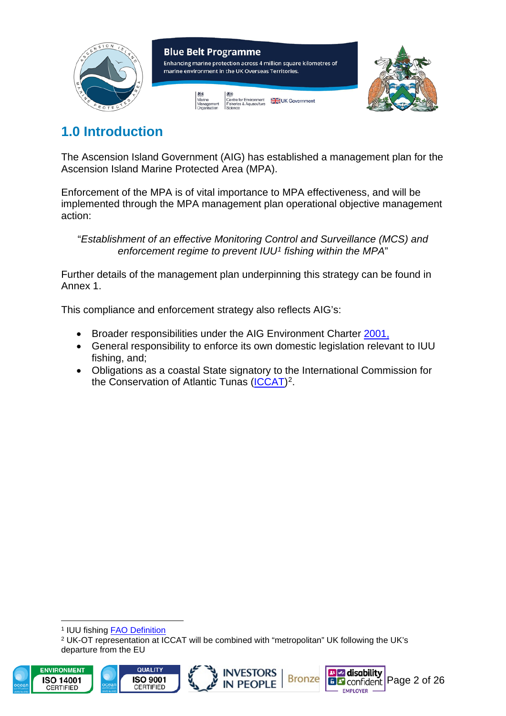

## <span id="page-1-0"></span>**1.0 Introduction**

The Ascension Island Government (AIG) has established a management plan for the Ascension Island Marine Protected Area (MPA).

Enforcement of the MPA is of vital importance to MPA effectiveness, and will be implemented through the MPA management plan operational objective management action:

"*Establishment of an effective Monitoring Control and Surveillance (MCS) and enforcement regime to prevent IUU[1](#page-1-1) fishing within the MPA*"

Further details of the management plan underpinning this strategy can be found in Annex 1.

This compliance and enforcement strategy also reflects AIG's:

- Broader responsibilities under the AIG Environment Charter [2001,](https://www.ascension.gov.ac/wp-content/uploads/2019/11/ascension-environment-charter.pdf)
- General responsibility to enforce its own domestic legislation relevant to IUU fishing, and;
- Obligations as a coastal State signatory to the International Commission for the Conservation of Atlantic Tunas [\(ICCAT\)](https://www.iccat.int/en/)<sup>2</sup>.

<sup>1</sup> IUU fishing [FAO Definition](http://www.fao.org/iuu-fishing/background/what-is-iuu-fishing/en/)

<sup>2</sup> UK-OT representation at ICCAT will be combined with "metropolitan" UK following the UK's departure from the EU

<span id="page-1-2"></span><span id="page-1-1"></span>





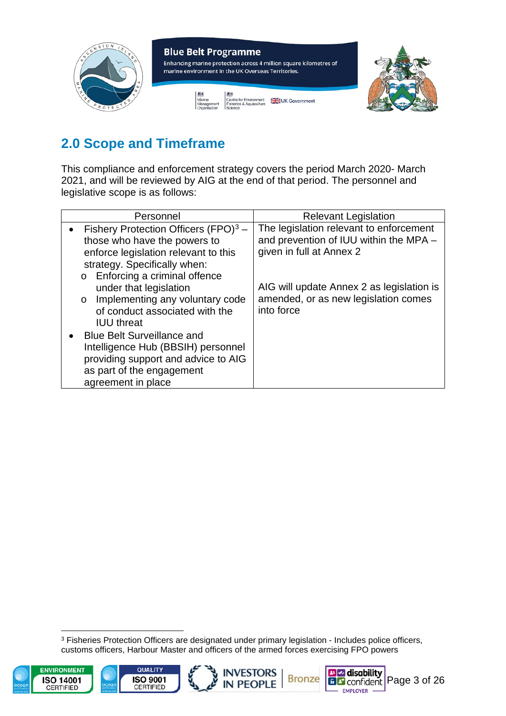

# <span id="page-2-0"></span>**2.0 Scope and Timeframe**

This compliance and enforcement strategy covers the period March 2020- March 2021, and will be reviewed by AIG at the end of that period. The personnel and legislative scope is as follows:

<span id="page-2-1"></span>

| Personnel                                                                                                                                                                                                                                                                                                                                                                                                                                                                             | <b>Relevant Legislation</b>                                                                                                                                                                                      |
|---------------------------------------------------------------------------------------------------------------------------------------------------------------------------------------------------------------------------------------------------------------------------------------------------------------------------------------------------------------------------------------------------------------------------------------------------------------------------------------|------------------------------------------------------------------------------------------------------------------------------------------------------------------------------------------------------------------|
| Fishery Protection Officers $(FPO)^3$ –<br>those who have the powers to<br>enforce legislation relevant to this<br>strategy. Specifically when:<br>Enforcing a criminal offence<br>$\circ$<br>under that legislation<br>o Implementing any voluntary code<br>of conduct associated with the<br><b>IUU</b> threat<br><b>Blue Belt Surveillance and</b><br>Intelligence Hub (BBSIH) personnel<br>providing support and advice to AIG<br>as part of the engagement<br>agreement in place | The legislation relevant to enforcement<br>and prevention of IUU within the MPA -<br>given in full at Annex 2<br>AIG will update Annex 2 as legislation is<br>amended, or as new legislation comes<br>into force |

<sup>3</sup> Fisheries Protection Officers are designated under primary legislation - Includes police officers, customs officers, Harbour Master and officers of the armed forces exercising FPO powers

<span id="page-2-2"></span>





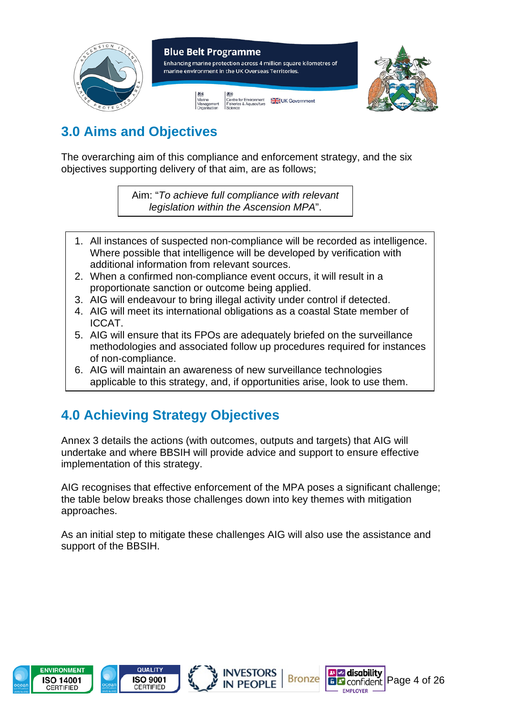

## **3.0 Aims and Objectives**

The overarching aim of this compliance and enforcement strategy, and the six obiectives supporting delivery of that aim, are as follows;

> Aim: "*To achieve full compliance with relevant legislation within the Ascension MPA*".

- 1. All instances of suspected non-compliance will be recorded as intelligence. Where possible that intelligence will be developed by verification with additional information from relevant sources.
- 2. When a confirmed non-compliance event occurs, it will result in a proportionate sanction or outcome being applied.
- 3. AIG will endeavour to bring illegal activity under control if detected.
- 4. AIG will meet its international obligations as a coastal State member of ICCAT.
- 5. AIG will ensure that its FPOs are adequately briefed on the surveillance methodologies and associated follow up procedures required for instances of non-compliance.
- 6. AIG will maintain an awareness of new surveillance technologies applicable to this strategy, and, if opportunities arise, look to use them.

# <span id="page-3-0"></span>**4.0 Achieving Strategy Objectives**

Annex 3 details the actions (with outcomes, outputs and targets) that AIG will undertake and where BBSIH will provide advice and support to ensure effective implementation of this strategy.

AIG recognises that effective enforcement of the MPA poses a significant challenge; the table below breaks those challenges down into key themes with mitigation approaches.

As an initial step to mitigate these challenges AIG will also use the assistance and support of the BBSIH.







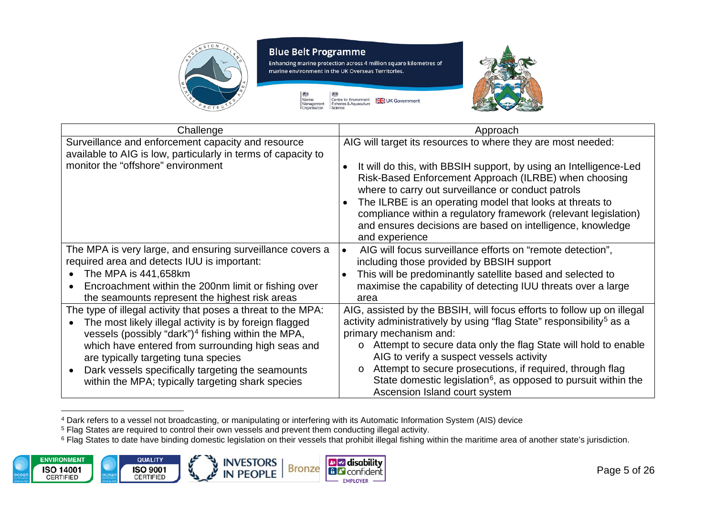

Enhancing marine protection across 4 million square kilometres of marine environment in the UK Overseas Territories.

> -383 越 Marine<br>Management<br>Organisation Centre for Environment<br>Fisheries & Aquaculture UK Government Science

<span id="page-4-2"></span><span id="page-4-1"></span><span id="page-4-0"></span>

| Challenge                                                                                                                                                   | Approach                                                                                                                                                                                                                                                                                                                                                                                                     |
|-------------------------------------------------------------------------------------------------------------------------------------------------------------|--------------------------------------------------------------------------------------------------------------------------------------------------------------------------------------------------------------------------------------------------------------------------------------------------------------------------------------------------------------------------------------------------------------|
| Surveillance and enforcement capacity and resource<br>available to AIG is low, particularly in terms of capacity to                                         | AIG will target its resources to where they are most needed:                                                                                                                                                                                                                                                                                                                                                 |
| monitor the "offshore" environment                                                                                                                          | It will do this, with BBSIH support, by using an Intelligence-Led<br>$\bullet$<br>Risk-Based Enforcement Approach (ILRBE) when choosing<br>where to carry out surveillance or conduct patrols<br>The ILRBE is an operating model that looks at threats to<br>compliance within a regulatory framework (relevant legislation)<br>and ensures decisions are based on intelligence, knowledge<br>and experience |
| The MPA is very large, and ensuring surveillance covers a<br>required area and detects IUU is important:                                                    | AIG will focus surveillance efforts on "remote detection",<br>$\bullet$<br>including those provided by BBSIH support                                                                                                                                                                                                                                                                                         |
| The MPA is 441,658km<br>$\bullet$                                                                                                                           | This will be predominantly satellite based and selected to                                                                                                                                                                                                                                                                                                                                                   |
| Encroachment within the 200nm limit or fishing over<br>$\bullet$<br>the seamounts represent the highest risk areas                                          | maximise the capability of detecting IUU threats over a large<br>area                                                                                                                                                                                                                                                                                                                                        |
| The type of illegal activity that poses a threat to the MPA:                                                                                                | AIG, assisted by the BBSIH, will focus efforts to follow up on illegal                                                                                                                                                                                                                                                                                                                                       |
| The most likely illegal activity is by foreign flagged                                                                                                      | activity administratively by using "flag State" responsibility <sup>5</sup> as a                                                                                                                                                                                                                                                                                                                             |
| vessels (possibly "dark") <sup>4</sup> fishing within the MPA,<br>which have entered from surrounding high seas and<br>are typically targeting tuna species | primary mechanism and:<br>o Attempt to secure data only the flag State will hold to enable<br>AIG to verify a suspect vessels activity<br>Attempt to secure prosecutions, if required, through flag<br>$\circ$                                                                                                                                                                                               |
| Dark vessels specifically targeting the seamounts<br>within the MPA; typically targeting shark species                                                      | State domestic legislation <sup>6</sup> , as opposed to pursuit within the<br>Ascension Island court system                                                                                                                                                                                                                                                                                                  |

<sup>4</sup> Dark refers to a vessel not broadcasting, or manipulating or interfering with its Automatic Information System (AIS) device

<sup>5</sup> Flag States are required to control their own vessels and prevent them conducting illegal activity.

<sup>6</sup> Flag States to date have binding domestic legislation on their vessels that prohibit illegal fishing within the maritime area of another state's jurisdiction.

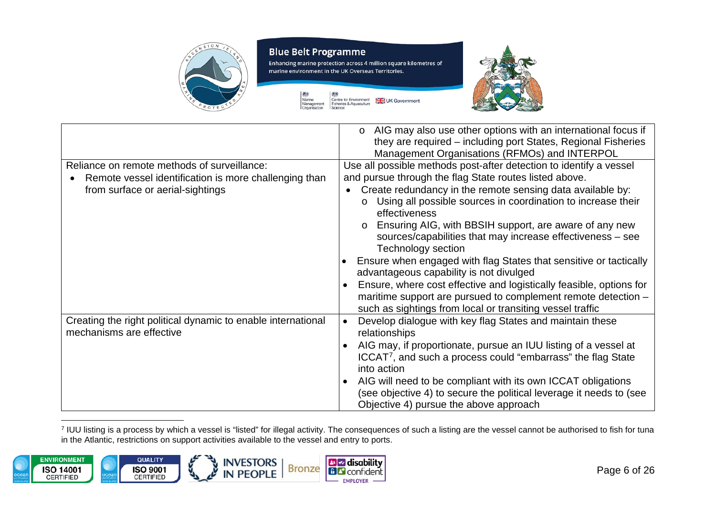

Enhancing marine protection across 4 million square kilometres of marine environment in the UK Overseas Territories.

> 划头 越 Marine<br>Management<br>Organisation Centre for Environment<br>Fisheries & Aquaculture<br>Science UK Government

<span id="page-5-0"></span>

|                                                              | AIG may also use other options with an international focus if<br>$\circ$<br>they are required – including port States, Regional Fisheries<br>Management Organisations (RFMOs) and INTERPOL |
|--------------------------------------------------------------|--------------------------------------------------------------------------------------------------------------------------------------------------------------------------------------------|
| Reliance on remote methods of surveillance:                  | Use all possible methods post-after detection to identify a vessel                                                                                                                         |
| Remote vessel identification is more challenging than        | and pursue through the flag State routes listed above.                                                                                                                                     |
| from surface or aerial-sightings                             | Create redundancy in the remote sensing data available by:                                                                                                                                 |
|                                                              | Using all possible sources in coordination to increase their<br>$\circ$                                                                                                                    |
|                                                              | effectiveness                                                                                                                                                                              |
|                                                              |                                                                                                                                                                                            |
|                                                              | Ensuring AIG, with BBSIH support, are aware of any new                                                                                                                                     |
|                                                              | sources/capabilities that may increase effectiveness - see                                                                                                                                 |
|                                                              | Technology section                                                                                                                                                                         |
|                                                              | Ensure when engaged with flag States that sensitive or tactically                                                                                                                          |
|                                                              | advantageous capability is not divulged                                                                                                                                                    |
|                                                              | Ensure, where cost effective and logistically feasible, options for                                                                                                                        |
|                                                              | maritime support are pursued to complement remote detection -                                                                                                                              |
|                                                              | such as sightings from local or transiting vessel traffic                                                                                                                                  |
| Creating the right political dynamic to enable international | Develop dialogue with key flag States and maintain these                                                                                                                                   |
| mechanisms are effective                                     | relationships                                                                                                                                                                              |
|                                                              | AIG may, if proportionate, pursue an IUU listing of a vessel at                                                                                                                            |
|                                                              | ICCAT <sup>7</sup> , and such a process could "embarrass" the flag State                                                                                                                   |
|                                                              | into action                                                                                                                                                                                |
|                                                              | AIG will need to be compliant with its own ICCAT obligations                                                                                                                               |
|                                                              |                                                                                                                                                                                            |
|                                                              | (see objective 4) to secure the political leverage it needs to (see                                                                                                                        |
|                                                              | Objective 4) pursue the above approach                                                                                                                                                     |

<sup>7</sup> IUU listing is a process by which a vessel is "listed" for illegal activity. The consequences of such a listing are the vessel cannot be authorised to fish for tuna in the Atlantic, restrictions on support activities available to the vessel and entry to ports.

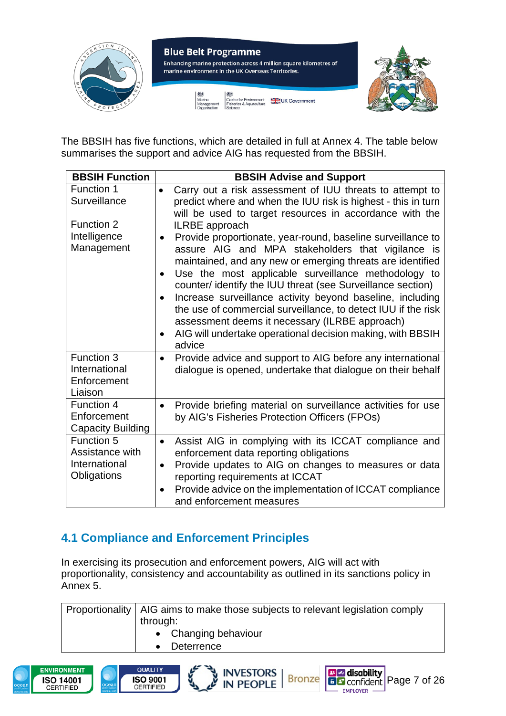

The BBSIH has five functions, which are detailed in full at Annex 4. The table below summarises the support and advice AIG has requested from the BBSIH.

| <b>BBSIH Function</b>                                         | <b>BBSIH Advise and Support</b>                                                                                                                                                                                                                                                                                                                                                                                                                                                                                                                                                |
|---------------------------------------------------------------|--------------------------------------------------------------------------------------------------------------------------------------------------------------------------------------------------------------------------------------------------------------------------------------------------------------------------------------------------------------------------------------------------------------------------------------------------------------------------------------------------------------------------------------------------------------------------------|
| Function 1<br>Surveillance                                    | Carry out a risk assessment of IUU threats to attempt to<br>$\bullet$<br>predict where and when the IUU risk is highest - this in turn<br>will be used to target resources in accordance with the                                                                                                                                                                                                                                                                                                                                                                              |
| Function 2<br>Intelligence<br>Management                      | ILRBE approach<br>Provide proportionate, year-round, baseline surveillance to<br>assure AIG and MPA stakeholders that vigilance is<br>maintained, and any new or emerging threats are identified<br>Use the most applicable surveillance methodology to<br>counter/ identify the IUU threat (see Surveillance section)<br>Increase surveillance activity beyond baseline, including<br>the use of commercial surveillance, to detect IUU if the risk<br>assessment deems it necessary (ILRBE approach)<br>AIG will undertake operational decision making, with BBSIH<br>advice |
| Function 3<br>International<br>Enforcement<br>Liaison         | Provide advice and support to AIG before any international<br>$\bullet$<br>dialogue is opened, undertake that dialogue on their behalf                                                                                                                                                                                                                                                                                                                                                                                                                                         |
| Function 4<br>Enforcement<br><b>Capacity Building</b>         | Provide briefing material on surveillance activities for use<br>$\bullet$<br>by AIG's Fisheries Protection Officers (FPOs)                                                                                                                                                                                                                                                                                                                                                                                                                                                     |
| Function 5<br>Assistance with<br>International<br>Obligations | Assist AIG in complying with its ICCAT compliance and<br>$\bullet$<br>enforcement data reporting obligations<br>Provide updates to AIG on changes to measures or data<br>$\bullet$<br>reporting requirements at ICCAT<br>Provide advice on the implementation of ICCAT compliance<br>and enforcement measures                                                                                                                                                                                                                                                                  |

### <span id="page-6-0"></span>**4.1 Compliance and Enforcement Principles**

In exercising its prosecution and enforcement powers, AIG will act with proportionality, consistency and accountability as outlined in its sanctions policy in Annex 5.

Proportionality  $\vert$  AIG aims to make those subjects to relevant legislation comply through: • Changing behaviour • Deterrence







**B**Z disability

- EMPLOYER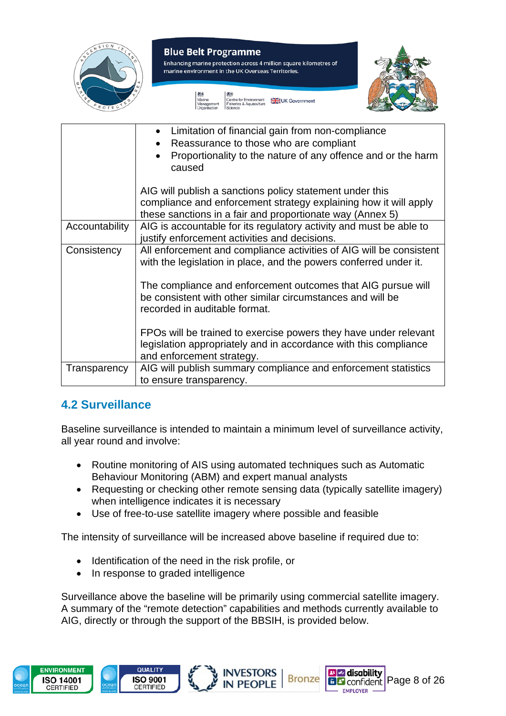

|                | Limitation of financial gain from non-compliance<br>Reassurance to those who are compliant<br>Proportionality to the nature of any offence and or the harm<br>caused                      |
|----------------|-------------------------------------------------------------------------------------------------------------------------------------------------------------------------------------------|
|                | AIG will publish a sanctions policy statement under this<br>compliance and enforcement strategy explaining how it will apply<br>these sanctions in a fair and proportionate way (Annex 5) |
| Accountability | AIG is accountable for its regulatory activity and must be able to<br>justify enforcement activities and decisions.                                                                       |
| Consistency    | All enforcement and compliance activities of AIG will be consistent<br>with the legislation in place, and the powers conferred under it.                                                  |
|                | The compliance and enforcement outcomes that AIG pursue will<br>be consistent with other similar circumstances and will be<br>recorded in auditable format.                               |
|                | FPOs will be trained to exercise powers they have under relevant<br>legislation appropriately and in accordance with this compliance<br>and enforcement strategy.                         |
| Transparency   | AIG will publish summary compliance and enforcement statistics<br>to ensure transparency.                                                                                                 |

### <span id="page-7-0"></span>**4.2 Surveillance**

Baseline surveillance is intended to maintain a minimum level of surveillance activity, all year round and involve:

- Routine monitoring of AIS using automated techniques such as Automatic Behaviour Monitoring (ABM) and expert manual analysts
- Requesting or checking other remote sensing data (typically satellite imagery) when intelligence indicates it is necessary
- Use of free-to-use satellite imagery where possible and feasible

The intensity of surveillance will be increased above baseline if required due to:

- Identification of the need in the risk profile, or
- In response to graded intelligence

Surveillance above the baseline will be primarily using commercial satellite imagery. A summary of the "remote detection" capabilities and methods currently available to AIG, directly or through the support of the BBSIH, is provided below.

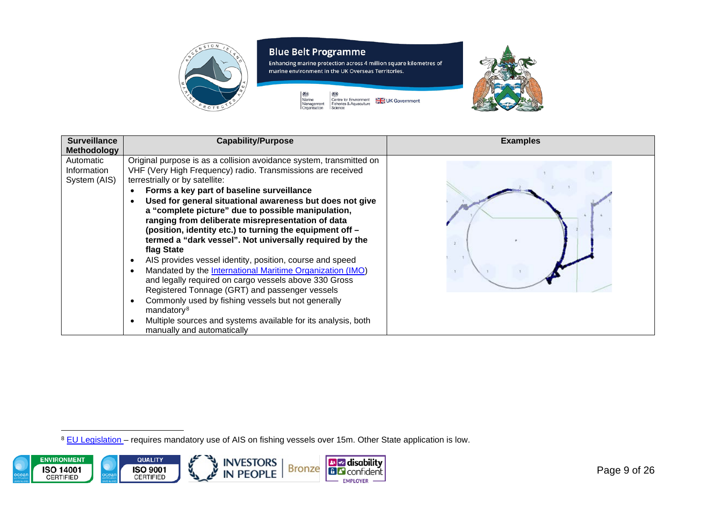<span id="page-8-0"></span>

| <b>Surveillance</b><br><b>Methodology</b> | <b>Capability/Purpose</b>                                                                                                                                                                                                                                                                                                                                                                                                                                                                                                                                                                                                                                                                                                                                                                                                                                                                                                                                     | <b>Examples</b> |
|-------------------------------------------|---------------------------------------------------------------------------------------------------------------------------------------------------------------------------------------------------------------------------------------------------------------------------------------------------------------------------------------------------------------------------------------------------------------------------------------------------------------------------------------------------------------------------------------------------------------------------------------------------------------------------------------------------------------------------------------------------------------------------------------------------------------------------------------------------------------------------------------------------------------------------------------------------------------------------------------------------------------|-----------------|
| Automatic<br>Information<br>System (AIS)  | Original purpose is as a collision avoidance system, transmitted on<br>VHF (Very High Frequency) radio. Transmissions are received<br>terrestrially or by satellite:<br>Forms a key part of baseline surveillance<br>Used for general situational awareness but does not give<br>a "complete picture" due to possible manipulation,<br>ranging from deliberate misrepresentation of data<br>(position, identity etc.) to turning the equipment off -<br>termed a "dark vessel". Not universally required by the<br>flag State<br>AIS provides vessel identity, position, course and speed<br>Mandated by the International Maritime Organization (IMO)<br>and legally required on cargo vessels above 330 Gross<br>Registered Tonnage (GRT) and passenger vessels<br>Commonly used by fishing vessels but not generally<br>mandatory <sup>8</sup><br>Multiple sources and systems available for its analysis, both<br>$\bullet$<br>manually and automatically |                 |

8 EU Legislation - requires mandatory use of AIS on fishing vessels over 15m. Other State application is low.

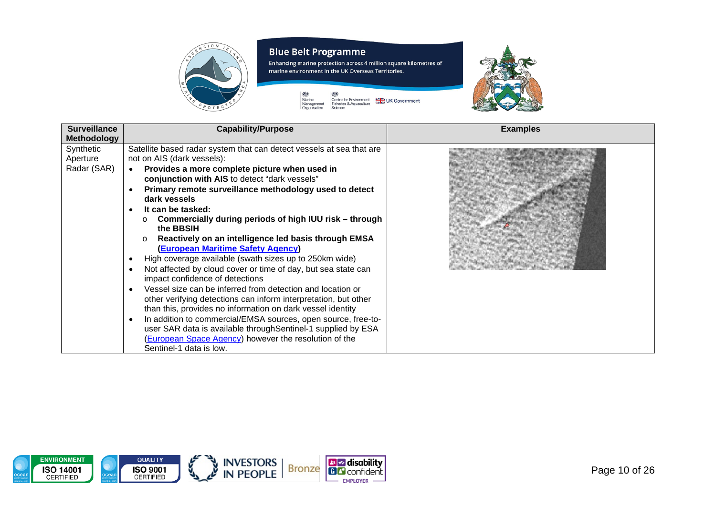

Enhancing marine protection across 4 million square kilometres of marine environment in the UK Overseas Territories.





| <b>Surveillance</b>                  | <b>Capability/Purpose</b>                                                                                                                                                                                                                                                                                                                                                                                                                                                                                                                                                                                                                                                                                                                                                                                                                                                                                                                                                                                                                        | <b>Examples</b> |
|--------------------------------------|--------------------------------------------------------------------------------------------------------------------------------------------------------------------------------------------------------------------------------------------------------------------------------------------------------------------------------------------------------------------------------------------------------------------------------------------------------------------------------------------------------------------------------------------------------------------------------------------------------------------------------------------------------------------------------------------------------------------------------------------------------------------------------------------------------------------------------------------------------------------------------------------------------------------------------------------------------------------------------------------------------------------------------------------------|-----------------|
| Methodology                          |                                                                                                                                                                                                                                                                                                                                                                                                                                                                                                                                                                                                                                                                                                                                                                                                                                                                                                                                                                                                                                                  |                 |
| Synthetic<br>Aperture<br>Radar (SAR) | Satellite based radar system that can detect vessels at sea that are<br>not on AIS (dark vessels):<br>Provides a more complete picture when used in<br>conjunction with AIS to detect "dark vessels"<br>Primary remote surveillance methodology used to detect<br>dark vessels<br>It can be tasked:<br>Commercially during periods of high IUU risk – through<br>$\circ$<br>the BBSIH<br>Reactively on an intelligence led basis through EMSA<br><b>(European Maritime Safety Agency)</b><br>High coverage available (swath sizes up to 250km wide)<br>Not affected by cloud cover or time of day, but sea state can<br>impact confidence of detections<br>Vessel size can be inferred from detection and location or<br>other verifying detections can inform interpretation, but other<br>than this, provides no information on dark vessel identity<br>In addition to commercial/EMSA sources, open source, free-to-<br>user SAR data is available throughSentinel-1 supplied by ESA<br>(European Space Agency) however the resolution of the |                 |
|                                      | Sentinel-1 data is low.                                                                                                                                                                                                                                                                                                                                                                                                                                                                                                                                                                                                                                                                                                                                                                                                                                                                                                                                                                                                                          |                 |

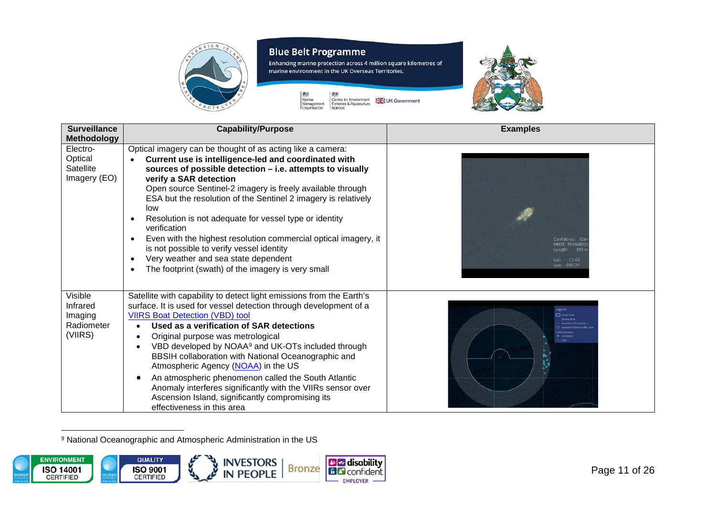

Enhancing marine protection across 4 million square kilometres of marine environment in the UK Overseas Territories.



<span id="page-10-0"></span>

| <b>Surveillance</b><br><b>Methodology</b>               | <b>Capability/Purpose</b>                                                                                                                                                                                                                                                                                                                                                                                                                                                                                                                                                                                                                                  | <b>Examples</b>                                                    |
|---------------------------------------------------------|------------------------------------------------------------------------------------------------------------------------------------------------------------------------------------------------------------------------------------------------------------------------------------------------------------------------------------------------------------------------------------------------------------------------------------------------------------------------------------------------------------------------------------------------------------------------------------------------------------------------------------------------------------|--------------------------------------------------------------------|
| Electro-<br>Optical<br>Satellite<br>Imagery (EO)        | Optical imagery can be thought of as acting like a camera:<br>Current use is intelligence-led and coordinated with<br>sources of possible detection - i.e. attempts to visually<br>verify a SAR detection<br>Open source Sentinel-2 imagery is freely available through<br>ESA but the resolution of the Sentinel 2 imagery is relatively<br>low<br>Resolution is not adequate for vessel type or identity<br>verification<br>Even with the highest resolution commercial optical imagery, it<br>٠<br>is not possible to verify vessel identity<br>Very weather and sea state dependent<br>$\bullet$<br>The footprint (swath) of the imagery is very small | Confidence: Cor<br>MMSI: 35466800<br>Lat: - 12.63<br>Lon: - 009.34 |
| Visible<br>Infrared<br>Imaging<br>Radiometer<br>(VIIRS) | Satellite with capability to detect light emissions from the Earth's<br>surface. It is used for vessel detection through development of a<br><b>VIIRS Boat Detection (VBD) tool</b><br>Used as a verification of SAR detections<br>Original purpose was metrological<br>VBD developed by NOAA <sup>9</sup> and UK-OTs included through<br>BBSIH collaboration with National Oceanographic and<br>Atmospheric Agency (NOAA) in the US<br>An atmospheric phenomenon called the South Atlantic<br>$\bullet$<br>Anomaly interferes significantly with the VIIRs sensor over<br>Ascension Island, significantly compromising its<br>effectiveness in this area  | <b>Legend</b><br>High                                              |

<sup>9</sup> National Oceanographic and Atmospheric Administration in the US

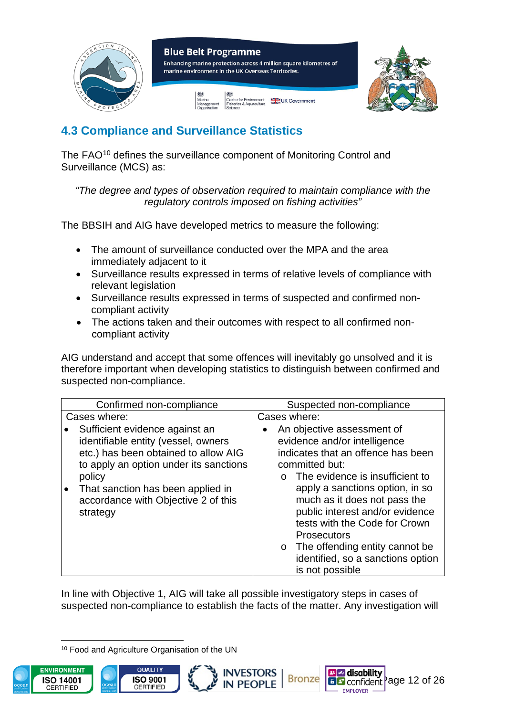

### <span id="page-11-0"></span>**4.3 Compliance and Surveillance Statistics**

The FAO<sup>[10](#page-11-1)</sup> defines the surveillance component of Monitoring Control and Surveillance (MCS) as:

*"The degree and types of observation required to maintain compliance with the regulatory controls imposed on fishing activities"*

The BBSIH and AIG have developed metrics to measure the following:

- The amount of surveillance conducted over the MPA and the area immediately adjacent to it
- Surveillance results expressed in terms of relative levels of compliance with relevant legislation
- Surveillance results expressed in terms of suspected and confirmed noncompliant activity
- The actions taken and their outcomes with respect to all confirmed noncompliant activity

AIG understand and accept that some offences will inevitably go unsolved and it is therefore important when developing statistics to distinguish between confirmed and suspected non-compliance.

| Suspected non-compliance                                                                                                                                                                                                                                                                                                                                                                                     |
|--------------------------------------------------------------------------------------------------------------------------------------------------------------------------------------------------------------------------------------------------------------------------------------------------------------------------------------------------------------------------------------------------------------|
| Cases where:                                                                                                                                                                                                                                                                                                                                                                                                 |
| An objective assessment of<br>evidence and/or intelligence<br>indicates that an offence has been<br>committed but:<br>$\circ$ The evidence is insufficient to<br>apply a sanctions option, in so<br>much as it does not pass the<br>public interest and/or evidence<br>tests with the Code for Crown<br><b>Prosecutors</b><br>The offending entity cannot be<br>$\circ$<br>identified, so a sanctions option |
|                                                                                                                                                                                                                                                                                                                                                                                                              |

In line with Objective 1, AIG will take all possible investigatory steps in cases of suspected non-compliance to establish the facts of the matter. Any investigation will

**INVESTORS** 

**IN PEOPLE** 

<span id="page-11-1"></span><sup>10</sup> Food and Agriculture Organisation of the UN





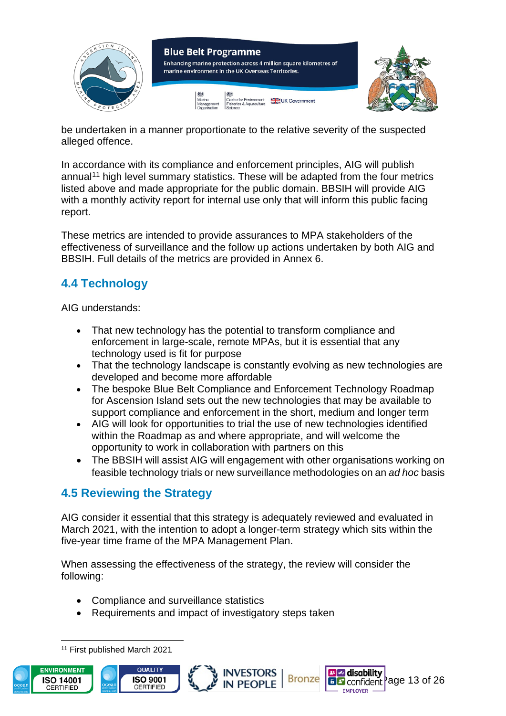

be undertaken in a manner proportionate to the relative severity of the suspected alleged offence.

In accordance with its compliance and enforcement principles, AIG will publish annual<sup>[11](#page-12-2)</sup> high level summary statistics. These will be adapted from the four metrics listed above and made appropriate for the public domain. BBSIH will provide AIG with a monthly activity report for internal use only that will inform this public facing report.

These metrics are intended to provide assurances to MPA stakeholders of the effectiveness of surveillance and the follow up actions undertaken by both AIG and BBSIH. Full details of the metrics are provided in Annex 6.

### <span id="page-12-0"></span>**4.4 Technology**

AIG understands:

- That new technology has the potential to transform compliance and enforcement in large-scale, remote MPAs, but it is essential that any technology used is fit for purpose
- That the technology landscape is constantly evolving as new technologies are developed and become more affordable
- The bespoke Blue Belt Compliance and Enforcement Technology Roadmap for Ascension Island sets out the new technologies that may be available to support compliance and enforcement in the short, medium and longer term
- AIG will look for opportunities to trial the use of new technologies identified within the Roadmap as and where appropriate, and will welcome the opportunity to work in collaboration with partners on this
- The BBSIH will assist AIG will engagement with other organisations working on feasible technology trials or new surveillance methodologies on an *ad hoc* basis

### <span id="page-12-1"></span>**4.5 Reviewing the Strategy**

AIG consider it essential that this strategy is adequately reviewed and evaluated in March 2021, with the intention to adopt a longer-term strategy which sits within the five-year time frame of the MPA Management Plan.

When assessing the effectiveness of the strategy, the review will consider the following:

- Compliance and surveillance statistics
- Requirements and impact of investigatory steps taken

<span id="page-12-2"></span><sup>11</sup> First published March 2021





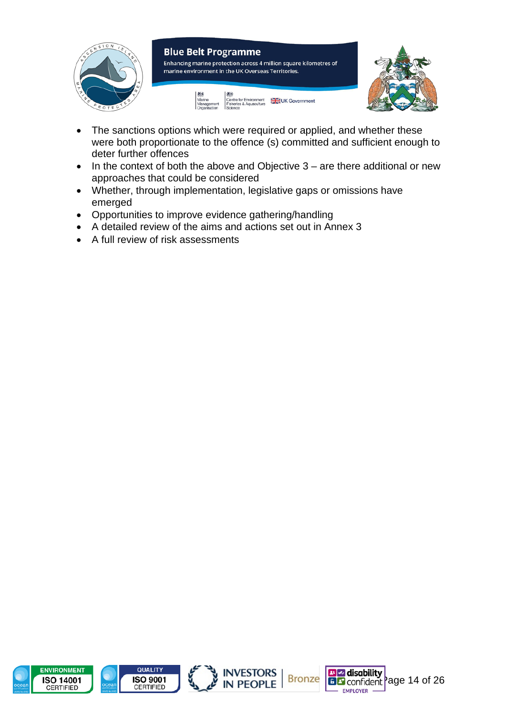

- The sanctions options which were required or applied, and whether these were both proportionate to the offence (s) committed and sufficient enough to deter further offences
- In the context of both the above and Objective 3 are there additional or new approaches that could be considered
- Whether, through implementation, legislative gaps or omissions have emerged
- Opportunities to improve evidence gathering/handling
- A detailed review of the aims and actions set out in Annex 3
- A full review of risk assessments







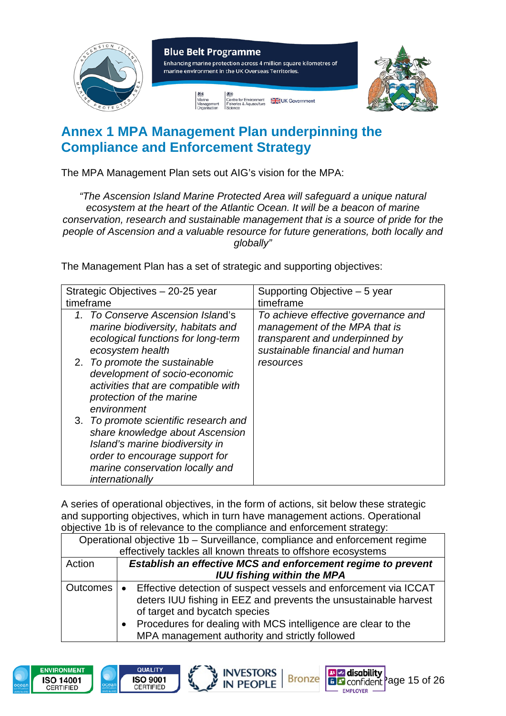

## <span id="page-14-0"></span>**Annex 1 MPA Management Plan underpinning the Compliance and Enforcement Strategy**

The MPA Management Plan sets out AIG's vision for the MPA:

*"The Ascension Island Marine Protected Area will safeguard a unique natural ecosystem at the heart of the Atlantic Ocean. It will be a beacon of marine conservation, research and sustainable management that is a source of pride for the people of Ascension and a valuable resource for future generations, both locally and globally"*

The Management Plan has a set of strategic and supporting objectives:

| Strategic Objectives - 20-25 year                                                                                                                                                                   | Supporting Objective – 5 year                                                                                                             |
|-----------------------------------------------------------------------------------------------------------------------------------------------------------------------------------------------------|-------------------------------------------------------------------------------------------------------------------------------------------|
| timeframe                                                                                                                                                                                           | timeframe                                                                                                                                 |
| 1. To Conserve Ascension Island's<br>marine biodiversity, habitats and<br>ecological functions for long-term<br>ecosystem health                                                                    | To achieve effective governance and<br>management of the MPA that is<br>transparent and underpinned by<br>sustainable financial and human |
| 2. To promote the sustainable<br>development of socio-economic<br>activities that are compatible with<br>protection of the marine<br>environment                                                    | resources                                                                                                                                 |
| 3. To promote scientific research and<br>share knowledge about Ascension<br>Island's marine biodiversity in<br>order to encourage support for<br>marine conservation locally and<br>internationally |                                                                                                                                           |

A series of operational objectives, in the form of actions, sit below these strategic and supporting objectives, which in turn have management actions. Operational objective 1b is of relevance to the compliance and enforcement strategy:

| Operational objective 1b - Surveillance, compliance and enforcement regime |                                                                               |  |
|----------------------------------------------------------------------------|-------------------------------------------------------------------------------|--|
|                                                                            | effectively tackles all known threats to offshore ecosystems                  |  |
| Action                                                                     | <b>Establish an effective MCS and enforcement regime to prevent</b>           |  |
|                                                                            | <b>IUU fishing within the MPA</b>                                             |  |
| Outcomes                                                                   | Effective detection of suspect vessels and enforcement via ICCAT<br>$\bullet$ |  |
|                                                                            | deters IUU fishing in EEZ and prevents the unsustainable harvest              |  |
|                                                                            | of target and bycatch species                                                 |  |
|                                                                            | Procedures for dealing with MCS intelligence are clear to the<br>$\bullet$    |  |
|                                                                            | MPA management authority and strictly followed                                |  |
|                                                                            |                                                                               |  |

**INVESTORS** 

**IN PEOPLE** 

**Bronze** 

**Page disability**<br>**BB** confident **Page 15 of 26** 

**EMPLOYER** 



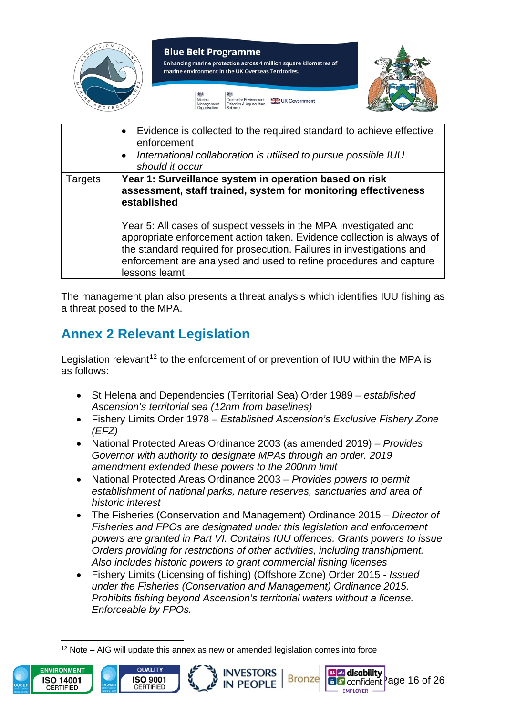

|                | Evidence is collected to the required standard to achieve effective<br>$\bullet$<br>enforcement<br>International collaboration is utilised to pursue possible IUU<br>$\bullet$<br>should it occur                                                                                                           |
|----------------|-------------------------------------------------------------------------------------------------------------------------------------------------------------------------------------------------------------------------------------------------------------------------------------------------------------|
| <b>Targets</b> | Year 1: Surveillance system in operation based on risk<br>assessment, staff trained, system for monitoring effectiveness<br>established                                                                                                                                                                     |
|                | Year 5: All cases of suspect vessels in the MPA investigated and<br>appropriate enforcement action taken. Evidence collection is always of<br>the standard required for prosecution. Failures in investigations and<br>enforcement are analysed and used to refine procedures and capture<br>lessons learnt |

The management plan also presents a threat analysis which identifies IUU fishing as a threat posed to the MPA.

## <span id="page-15-0"></span>**Annex 2 Relevant Legislation**

Legislation relevant<sup>[12](#page-15-1)</sup> to the enforcement of or prevention of IUU within the MPA is as follows:

- St Helena and Dependencies (Territorial Sea) Order 1989 *established Ascension's territorial sea (12nm from baselines)*
- Fishery Limits Order 1978 *Established Ascension's Exclusive Fishery Zone (EFZ)*
- National Protected Areas Ordinance 2003 (as amended 2019) *Provides Governor with authority to designate MPAs through an order. 2019 amendment extended these powers to the 200nm limit*
- National Protected Areas Ordinance 2003 *Provides powers to permit establishment of national parks, nature reserves, sanctuaries and area of historic interest*
- The Fisheries (Conservation and Management) Ordinance 2015 *Director of Fisheries and FPOs are designated under this legislation and enforcement powers are granted in Part VI. Contains IUU offences. Grants powers to issue Orders providing for restrictions of other activities, including transhipment. Also includes historic powers to grant commercial fishing licenses*
- Fishery Limits (Licensing of fishing) (Offshore Zone) Order 2015 *Issued under the Fisheries (Conservation and Management) Ordinance 2015. Prohibits fishing beyond Ascension's territorial waters without a license. Enforceable by FPOs.*

<span id="page-15-1"></span> $12$  Note – AIG will update this annex as new or amended legislation comes into force





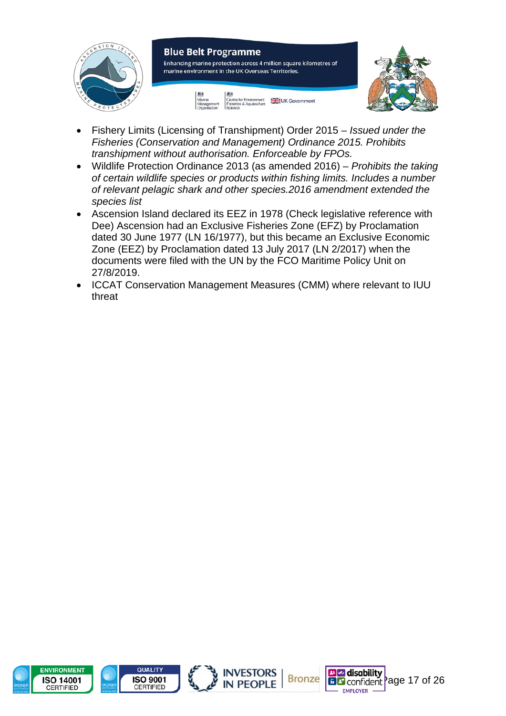

- Fishery Limits (Licensing of Transhipment) Order 2015 *Issued under the Fisheries (Conservation and Management) Ordinance 2015. Prohibits transhipment without authorisation. Enforceable by FPOs.*
- Wildlife Protection Ordinance 2013 (as amended 2016) *Prohibits the taking of certain wildlife species or products within fishing limits. Includes a number of relevant pelagic shark and other species.2016 amendment extended the species list*
- Ascension Island declared its EEZ in 1978 (Check legislative reference with Dee) Ascension had an Exclusive Fisheries Zone (EFZ) by Proclamation dated 30 June 1977 (LN 16/1977), but this became an Exclusive Economic Zone (EEZ) by Proclamation dated 13 July 2017 (LN 2/2017) when the documents were filed with the UN by the FCO Maritime Policy Unit on 27/8/2019.
- ICCAT Conservation Management Measures (CMM) where relevant to IUU threat







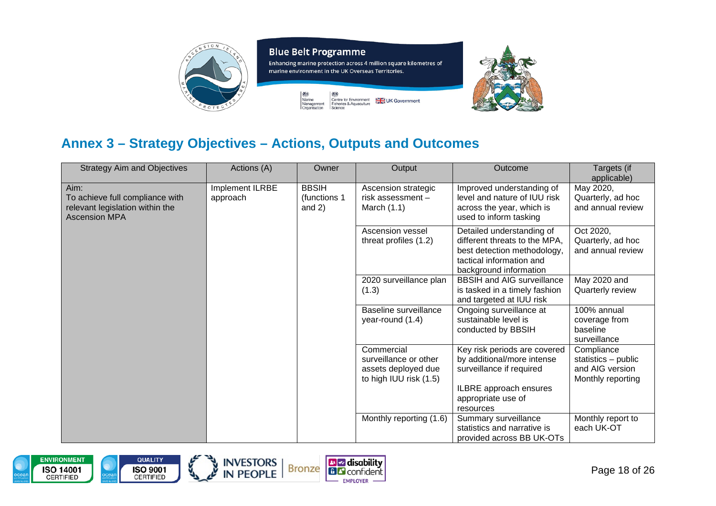



## **Annex 3 – Strategy Objectives – Actions, Outputs and Outcomes**

| <b>Strategy Aim and Objectives</b>                                                                 | Actions (A)                 | Owner                                    | Output                                                                               | Outcome                                                                                                                                         | Targets (if<br>applicable)                                                |
|----------------------------------------------------------------------------------------------------|-----------------------------|------------------------------------------|--------------------------------------------------------------------------------------|-------------------------------------------------------------------------------------------------------------------------------------------------|---------------------------------------------------------------------------|
| Aim:<br>To achieve full compliance with<br>relevant legislation within the<br><b>Ascension MPA</b> | Implement ILRBE<br>approach | <b>BBSIH</b><br>(functions 1<br>and $2)$ | Ascension strategic<br>risk assessment -<br>March $(1.1)$                            | Improved understanding of<br>level and nature of IUU risk<br>across the year, which is<br>used to inform tasking                                | May 2020,<br>Quarterly, ad hoc<br>and annual review                       |
|                                                                                                    |                             |                                          | Ascension vessel<br>threat profiles (1.2)                                            | Detailed understanding of<br>different threats to the MPA,<br>best detection methodology,<br>tactical information and<br>background information | Oct 2020,<br>Quarterly, ad hoc<br>and annual review                       |
|                                                                                                    |                             |                                          | 2020 surveillance plan<br>(1.3)                                                      | <b>BBSIH and AIG surveillance</b><br>is tasked in a timely fashion<br>and targeted at IUU risk                                                  | May 2020 and<br>Quarterly review                                          |
|                                                                                                    |                             |                                          | Baseline surveillance<br>year-round (1.4)                                            | Ongoing surveillance at<br>sustainable level is<br>conducted by BBSIH                                                                           | 100% annual<br>coverage from<br>baseline<br>surveillance                  |
|                                                                                                    |                             |                                          | Commercial<br>surveillance or other<br>assets deployed due<br>to high IUU risk (1.5) | Key risk periods are covered<br>by additional/more intense<br>surveillance if required<br>ILBRE approach ensures<br>appropriate use of          | Compliance<br>statistics - public<br>and AIG version<br>Monthly reporting |
|                                                                                                    |                             |                                          | Monthly reporting (1.6)                                                              | resources<br>Summary surveillance<br>statistics and narrative is<br>provided across BB UK-OTs                                                   | Monthly report to<br>each UK-OT                                           |

**B**Z disability

**BB** confident **EMPLOYER** 

<span id="page-17-0"></span>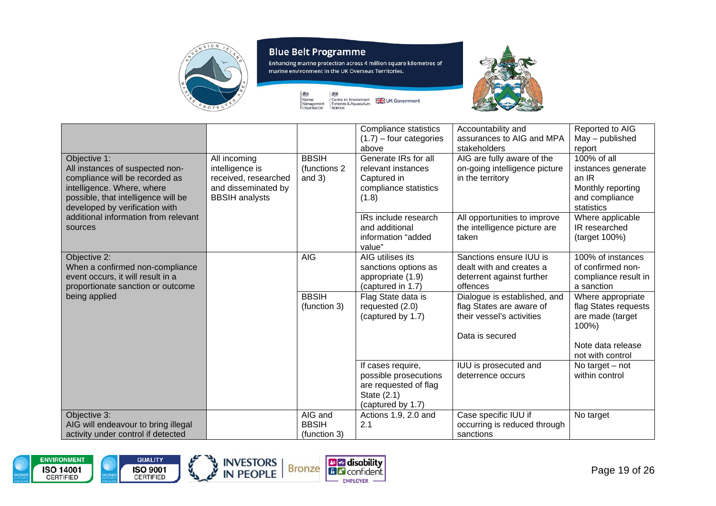

Enhancing marine protection across 4 million square kilometres of marine environment in the UK Overseas Territories.

UK Government





| Objective 1:<br>All instances of suspected non-<br>compliance will be recorded as                                         | All incoming<br>intelligence is<br>received, researched | <b>BBSIH</b><br>(functions 2)<br>and $3)$ | Compliance statistics<br>$(1.7)$ – four categories<br>above<br>Generate IRs for all<br>relevant instances<br>Captured in | Accountability and<br>assurances to AIG and MPA<br>stakeholders<br>AIG are fully aware of the<br>on-going intelligence picture<br>in the territory | Reported to AIG<br>May - published<br>report<br>$100\%$ of all<br>instances generate<br>an IR |
|---------------------------------------------------------------------------------------------------------------------------|---------------------------------------------------------|-------------------------------------------|--------------------------------------------------------------------------------------------------------------------------|----------------------------------------------------------------------------------------------------------------------------------------------------|-----------------------------------------------------------------------------------------------|
| intelligence. Where, where<br>possible, that intelligence will be<br>developed by verification with                       | and disseminated by<br><b>BBSIH</b> analysts            |                                           | compliance statistics<br>(1.8)                                                                                           |                                                                                                                                                    | Monthly reporting<br>and compliance<br>statistics                                             |
| additional information from relevant<br>sources                                                                           |                                                         |                                           | IRs include research<br>and additional<br>information "added<br>value"                                                   | All opportunities to improve<br>the intelligence picture are<br>taken                                                                              | Where applicable<br>IR researched<br>(target 100%)                                            |
| Objective 2:<br>When a confirmed non-compliance<br>event occurs, it will result in a<br>proportionate sanction or outcome |                                                         | <b>AIG</b>                                | AIG utilises its<br>sanctions options as<br>appropriate (1.9)<br>(captured in 1.7)                                       | Sanctions ensure IUU is<br>dealt with and creates a<br>deterrent against further<br>offences                                                       | 100% of instances<br>of confirmed non-<br>compliance result in<br>a sanction                  |
| being applied                                                                                                             |                                                         | <b>BBSIH</b><br>(function 3)              | Flag State data is<br>requested (2.0)<br>(captured by 1.7)                                                               | Dialogue is established, and<br>flag States are aware of<br>their vessel's activities                                                              | Where appropriate<br>flag States requests<br>are made (target<br>100%)                        |
|                                                                                                                           |                                                         |                                           |                                                                                                                          | Data is secured                                                                                                                                    | Note data release<br>not with control                                                         |
|                                                                                                                           |                                                         |                                           | If cases require,<br>possible prosecutions<br>are requested of flag<br>State (2.1)<br>(captured by 1.7)                  | IUU is prosecuted and<br>deterrence occurs                                                                                                         | No target $-$ not<br>within control                                                           |
| Objective 3:<br>AIG will endeavour to bring illegal<br>activity under control if detected                                 |                                                         | AIG and<br><b>BBSIH</b><br>(function 3)   | Actions 1.9, 2.0 and<br>2.1                                                                                              | Case specific IUU if<br>occurring is reduced through<br>sanctions                                                                                  | No target                                                                                     |

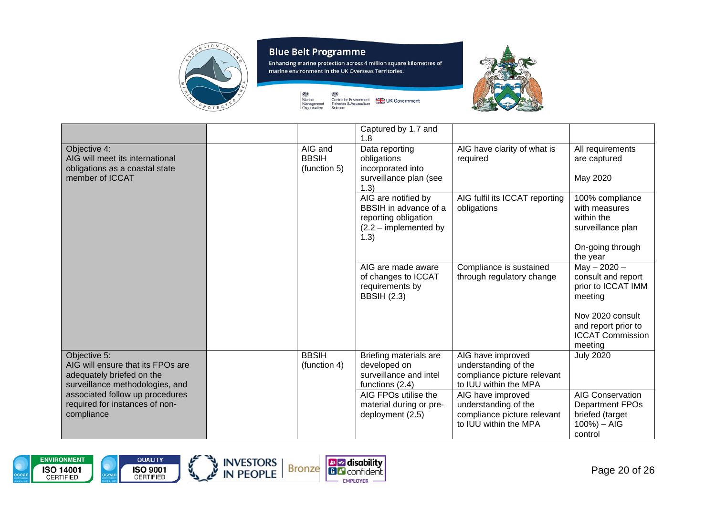

28

燃

owo<br>Marine<br>Management<br>Organisation

Enhancing marine protection across 4 million square kilometres of marine environment in the UK Overseas Territories.





|                                                                                                                   |                                         | Captured by 1.7 and                                                                                     |                                                                                                   |                                                                                                   |
|-------------------------------------------------------------------------------------------------------------------|-----------------------------------------|---------------------------------------------------------------------------------------------------------|---------------------------------------------------------------------------------------------------|---------------------------------------------------------------------------------------------------|
|                                                                                                                   |                                         | 1.8                                                                                                     |                                                                                                   |                                                                                                   |
| Objective 4:<br>AIG will meet its international<br>obligations as a coastal state                                 | AIG and<br><b>BBSIH</b><br>(function 5) | Data reporting<br>obligations<br>incorporated into                                                      | AIG have clarity of what is<br>required                                                           | All requirements<br>are captured                                                                  |
| member of ICCAT                                                                                                   |                                         | surveillance plan (see<br>1.3)                                                                          |                                                                                                   | May 2020                                                                                          |
|                                                                                                                   |                                         | AIG are notified by<br>BBSIH in advance of a<br>reporting obligation<br>$(2.2 -$ implemented by<br>1.3) | AIG fulfil its ICCAT reporting<br>obligations                                                     | 100% compliance<br>with measures<br>within the<br>surveillance plan                               |
|                                                                                                                   |                                         |                                                                                                         |                                                                                                   | On-going through<br>the year                                                                      |
|                                                                                                                   |                                         | AIG are made aware<br>of changes to ICCAT<br>requirements by<br><b>BBSIH (2.3)</b>                      | Compliance is sustained<br>through regulatory change                                              | $May - 2020 -$<br>consult and report<br>prior to ICCAT IMM<br>meeting                             |
|                                                                                                                   |                                         |                                                                                                         |                                                                                                   | Nov 2020 consult<br>and report prior to<br><b>ICCAT Commission</b><br>meeting                     |
| Objective 5:<br>AIG will ensure that its FPOs are<br>adequately briefed on the<br>surveillance methodologies, and | <b>BBSIH</b><br>(function 4)            | Briefing materials are<br>developed on<br>surveillance and intel<br>functions (2.4)                     | AIG have improved<br>understanding of the<br>compliance picture relevant<br>to IUU within the MPA | <b>July 2020</b>                                                                                  |
| associated follow up procedures<br>required for instances of non-<br>compliance                                   |                                         | AIG FPOs utilise the<br>material during or pre-<br>deployment (2.5)                                     | AIG have improved<br>understanding of the<br>compliance picture relevant<br>to IUU within the MPA | <b>AIG Conservation</b><br><b>Department FPOs</b><br>briefed (target<br>$100%$ ) – AIG<br>control |





المجرولي

INVESTORS NET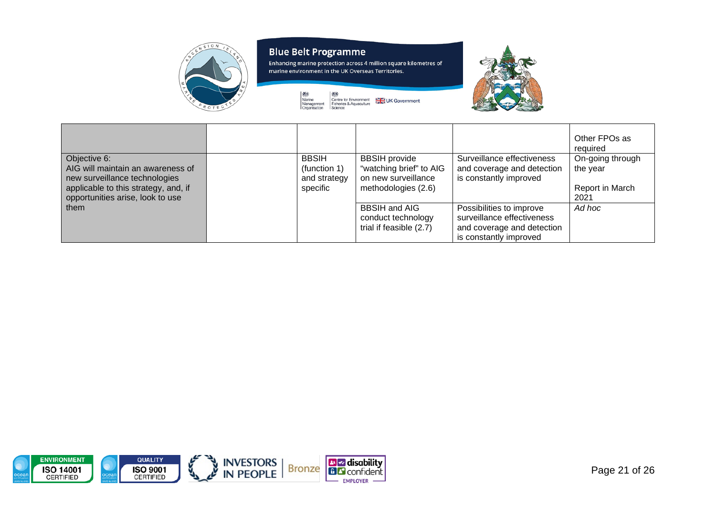

燃 owo<br>Marine<br>Management<br>Organisation 28

Enhancing marine protection across 4 million square kilometres of marine environment in the UK Overseas Territories.

UK Government

Centre for Environment<br>Fisheries & Aquaculture<br>Science



|                                                                                                                                                                |                                                          |                                                                                               |                                                                                                                | Other FPOs as<br>required                               |
|----------------------------------------------------------------------------------------------------------------------------------------------------------------|----------------------------------------------------------|-----------------------------------------------------------------------------------------------|----------------------------------------------------------------------------------------------------------------|---------------------------------------------------------|
| Objective 6:<br>AIG will maintain an awareness of<br>new surveillance technologies<br>applicable to this strategy, and, if<br>opportunities arise, look to use | <b>BBSIH</b><br>(function 1)<br>and strategy<br>specific | <b>BBSIH</b> provide<br>"watching brief" to AIG<br>on new surveillance<br>methodologies (2.6) | Surveillance effectiveness<br>and coverage and detection<br>is constantly improved                             | On-going through<br>the year<br>Report in March<br>2021 |
| them                                                                                                                                                           |                                                          | <b>BBSIH and AIG</b><br>conduct technology<br>trial if feasible (2.7)                         | Possibilities to improve<br>surveillance effectiveness<br>and coverage and detection<br>is constantly improved | Ad hoc                                                  |

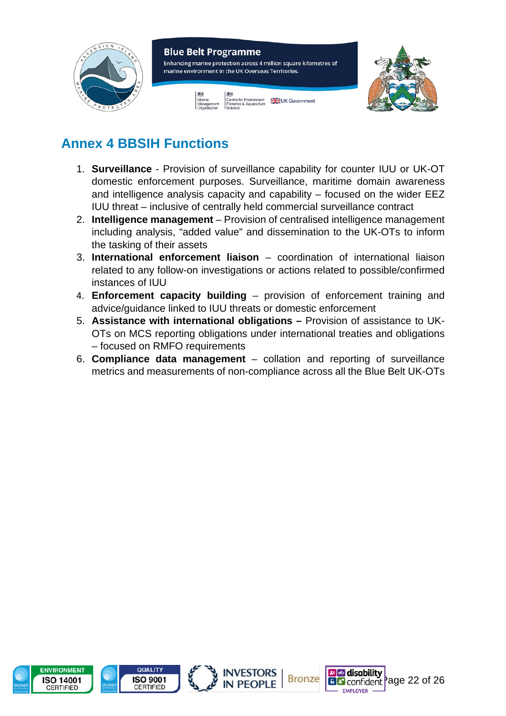

# <span id="page-21-0"></span>**Annex 4 BBSIH Functions**

- 1. **Surveillance** Provision of surveillance capability for counter IUU or UK-OT domestic enforcement purposes. Surveillance, maritime domain awareness and intelligence analysis capacity and capability – focused on the wider EEZ IUU threat – inclusive of centrally held commercial surveillance contract
- 2. **Intelligence management** Provision of centralised intelligence management including analysis, "added value" and dissemination to the UK-OTs to inform the tasking of their assets
- 3. **International enforcement liaison** coordination of international liaison related to any follow-on investigations or actions related to possible/confirmed instances of IUU
- 4. **Enforcement capacity building**  provision of enforcement training and advice/guidance linked to IUU threats or domestic enforcement
- 5. **Assistance with international obligations –** Provision of assistance to UK-OTs on MCS reporting obligations under international treaties and obligations – focused on RMFO requirements
- 6. **Compliance data management** collation and reporting of surveillance metrics and measurements of non-compliance across all the Blue Belt UK-OTs







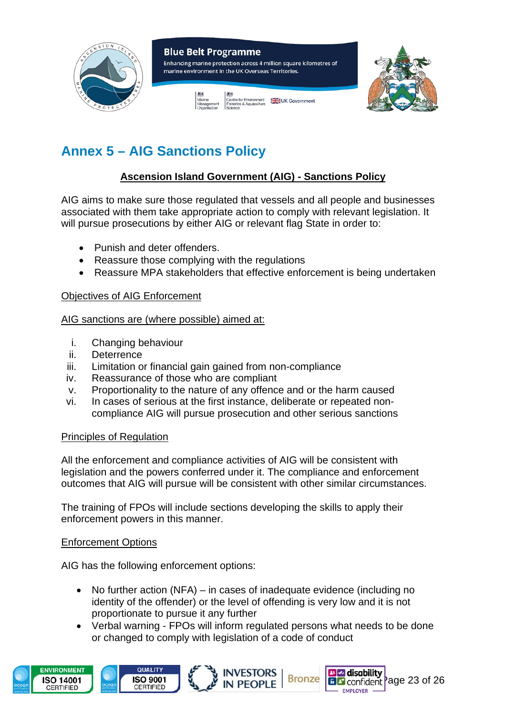

# <span id="page-22-0"></span>**Annex 5 – AIG Sanctions Policy**

### **Ascension Island Government (AIG) - Sanctions Policy**

AIG aims to make sure those regulated that vessels and all people and businesses associated with them take appropriate action to comply with relevant legislation. It will pursue prosecutions by either AIG or relevant flag State in order to:

- Punish and deter offenders.
- Reassure those complying with the regulations
- Reassure MPA stakeholders that effective enforcement is being undertaken

### Objectives of AIG Enforcement

### AIG sanctions are (where possible) aimed at:

- i. Changing behaviour
- ii. Deterrence
- iii. Limitation or financial gain gained from non-compliance
- iv. Reassurance of those who are compliant
- v. Proportionality to the nature of any offence and or the harm caused
- vi. In cases of serious at the first instance, deliberate or repeated noncompliance AIG will pursue prosecution and other serious sanctions

### Principles of Regulation

All the enforcement and compliance activities of AIG will be consistent with legislation and the powers conferred under it. The compliance and enforcement outcomes that AIG will pursue will be consistent with other similar circumstances.

The training of FPOs will include sections developing the skills to apply their enforcement powers in this manner.

### Enforcement Options

AIG has the following enforcement options:

- No further action (NFA) in cases of inadequate evidence (including no identity of the offender) or the level of offending is very low and it is not proportionate to pursue it any further
- Verbal warning FPOs will inform regulated persons what needs to be done or changed to comply with legislation of a code of conduct

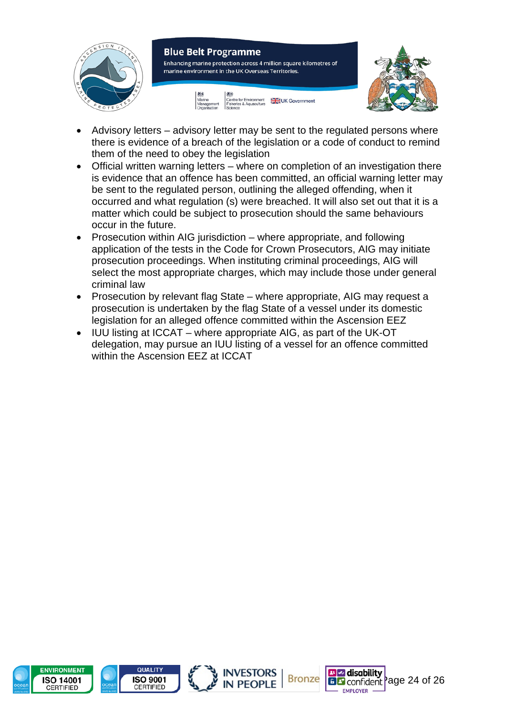

- Advisory letters advisory letter may be sent to the regulated persons where there is evidence of a breach of the legislation or a code of conduct to remind them of the need to obey the legislation
- Official written warning letters where on completion of an investigation there is evidence that an offence has been committed, an official warning letter may be sent to the regulated person, outlining the alleged offending, when it occurred and what regulation (s) were breached. It will also set out that it is a matter which could be subject to prosecution should the same behaviours occur in the future.
- Prosecution within AIG jurisdiction where appropriate, and following application of the tests in the Code for Crown Prosecutors, AIG may initiate prosecution proceedings. When instituting criminal proceedings, AIG will select the most appropriate charges, which may include those under general criminal law
- Prosecution by relevant flag State where appropriate, AIG may request a prosecution is undertaken by the flag State of a vessel under its domestic legislation for an alleged offence committed within the Ascension EEZ
- IUU listing at ICCAT where appropriate AIG, as part of the UK-OT delegation, may pursue an IUU listing of a vessel for an offence committed within the Ascension FFZ at ICCAT







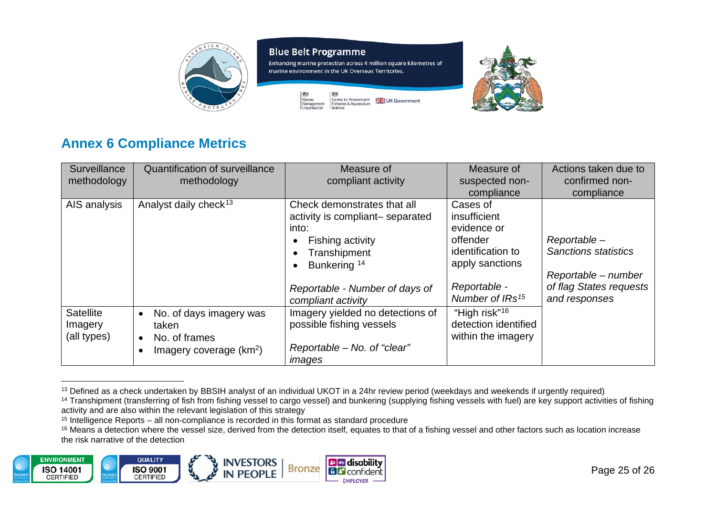

Enhancing marine protection across 4 million square kilometres of marine environment in the UK Overseas Territories.



<span id="page-24-4"></span><span id="page-24-3"></span><span id="page-24-2"></span><span id="page-24-1"></span>

## **Annex 6 Compliance Metrics**

| Surveillance<br>methodology                | <b>Quantification of surveillance</b><br>methodology                                                     | Measure of<br>compliant activity                                                                                                                                                                            | Measure of<br>suspected non-<br>compliance                                                                                                 | Actions taken due to<br>confirmed non-<br>compliance                                                          |
|--------------------------------------------|----------------------------------------------------------------------------------------------------------|-------------------------------------------------------------------------------------------------------------------------------------------------------------------------------------------------------------|--------------------------------------------------------------------------------------------------------------------------------------------|---------------------------------------------------------------------------------------------------------------|
| AIS analysis                               | Analyst daily check <sup>13</sup>                                                                        | Check demonstrates that all<br>activity is compliant-separated<br>into:<br>Fishing activity<br>Transhipment<br>Bunkering <sup>14</sup><br>$\bullet$<br>Reportable - Number of days of<br>compliant activity | Cases of<br>insufficient<br>evidence or<br>offender<br>identification to<br>apply sanctions<br>Reportable -<br>Number of IRs <sup>15</sup> | Reportable-<br><b>Sanctions statistics</b><br>Reportable – number<br>of flag States requests<br>and responses |
| <b>Satellite</b><br>Imagery<br>(all types) | No. of days imagery was<br>$\bullet$<br>taken<br>No. of frames<br>$\bullet$<br>Imagery coverage $(km^2)$ | Imagery yielded no detections of<br>possible fishing vessels<br>Reportable - No. of "clear"<br>images                                                                                                       | "High risk" <sup>16</sup><br>detection identified<br>within the imagery                                                                    |                                                                                                               |

<span id="page-24-0"></span><sup>&</sup>lt;sup>13</sup> Defined as a check undertaken by BBSIH analyst of an individual UKOT in a 24hr review period (weekdays and weekends if urgently required)

<sup>&</sup>lt;sup>16</sup> Means a detection where the vessel size, derived from the detection itself, equates to that of a fishing vessel and other factors such as location increase the risk narrative of the detection



<sup>&</sup>lt;sup>14</sup> Transhipment (transferring of fish from fishing vessel to cargo vessel) and bunkering (supplying fishing vessels with fuel) are key support activities of fishing activity and are also within the relevant legislation of this strategy

<sup>&</sup>lt;sup>15</sup> Intelligence Reports – all non-compliance is recorded in this format as standard procedure